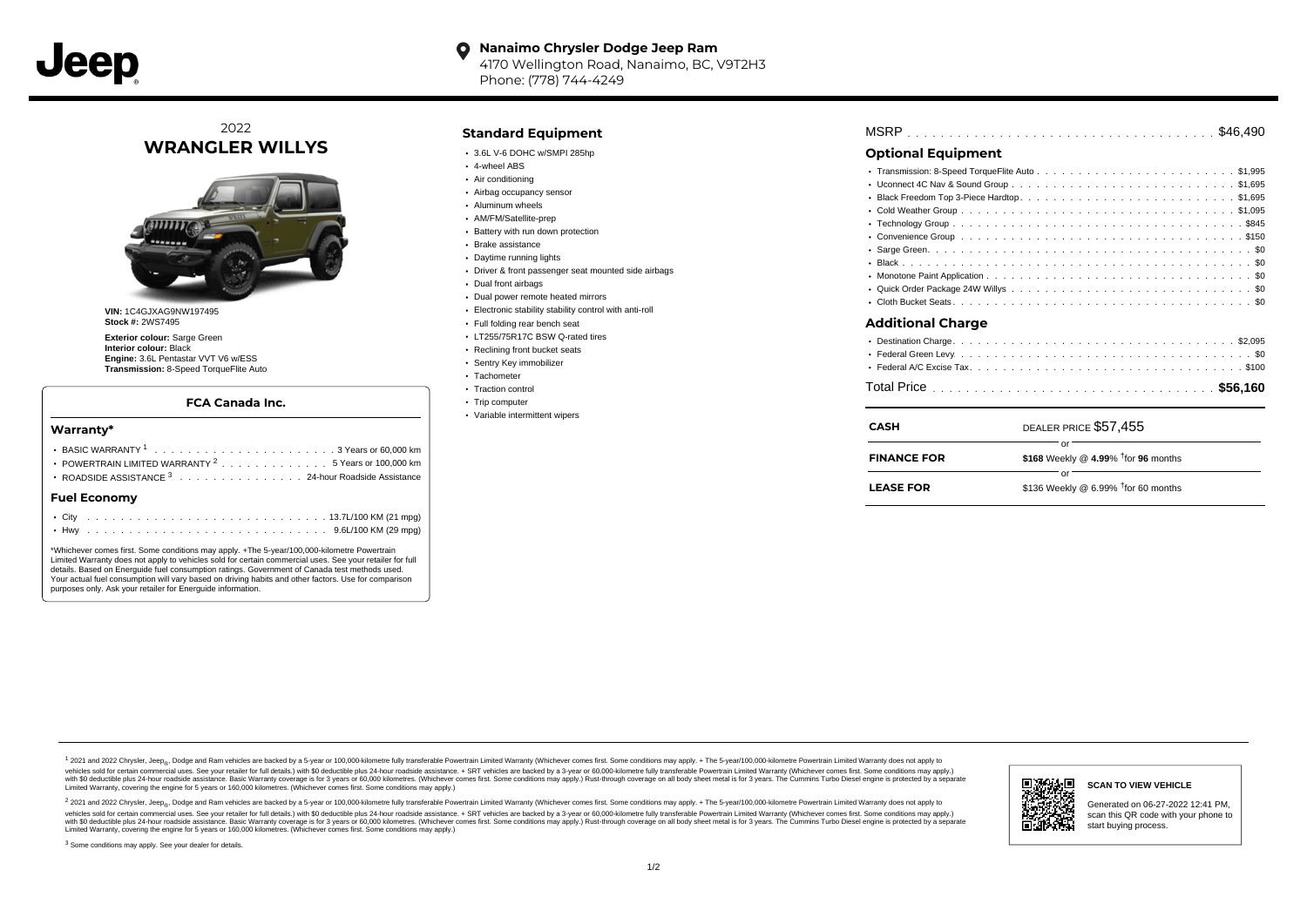

#### **Nanaimo Chrysler Dodge Jeep Ram**  $\bullet$ 4170 Wellington Road, Nanaimo, BC, V9T2H3 Phone: (778) 744-4249

## 2022 **WRANGLER WILLYS**



**VIN:** 1C4GJXAG9NW197495 **Stock #:** 2WS7495

**Exterior colour:** Sarge Green **Interior colour:** Black **Engine:** 3.6L Pentastar VVT V6 w/ESS **Transmission:** 8-Speed TorqueFlite Auto

### **FCA Canada Inc.**

#### **Warranty\***

|                     |  |  |  |  |  |  |  |  |  |  |  |  |  |  | POWERTRAIN LIMITED WARRANTY $2, \ldots, \ldots, \ldots, \ldots, 5$ Years or 100,000 km<br>ROADSIDE ASSISTANCE 3 24-hour Roadside Assistance |  |  |  |
|---------------------|--|--|--|--|--|--|--|--|--|--|--|--|--|--|---------------------------------------------------------------------------------------------------------------------------------------------|--|--|--|
| <b>Fuel Economy</b> |  |  |  |  |  |  |  |  |  |  |  |  |  |  |                                                                                                                                             |  |  |  |
|                     |  |  |  |  |  |  |  |  |  |  |  |  |  |  |                                                                                                                                             |  |  |  |

\*Whichever comes first. Some conditions may apply. +The 5-year/100,000-kilometre Powertrain Limited Warranty does not apply to vehicles sold for certain commercial uses. See your retailer for full details. Based on Energuide fuel consumption ratings. Government of Canada test methods used. Your actual fuel consumption will vary based on driving habits and other factors. Use for comparison purposes only. Ask your retailer for Energuide information.

## **Standard Equipment**

- $\cdot$  3.6L V-6 DOHC w/SMPI 285hp
- 4-wheel ABS
- Air conditioning
- Airbag occupancy sensor Aluminum wheels
- AM/FM/Satellite-prep
- Battery with run down protection
- Brake assistance
- Daytime running lights
- Driver & front passenger seat mounted side airbags
- Dual front airbags
- Dual power remote heated mirrors
- Electronic stability stability control with anti-roll
- Full folding rear bench seat
- LT255/75R17C BSW Q-rated tires
- Reclining front bucket seats
- Sentry Key immobilizer
- Tachometer
- Traction control
- Trip computer
- Variable intermittent wipers

| DEALER PRICE \$57,455 |  |  |  |  |  |  |  |  |  |  |
|-----------------------|--|--|--|--|--|--|--|--|--|--|
|                       |  |  |  |  |  |  |  |  |  |  |
|                       |  |  |  |  |  |  |  |  |  |  |
|                       |  |  |  |  |  |  |  |  |  |  |
|                       |  |  |  |  |  |  |  |  |  |  |
|                       |  |  |  |  |  |  |  |  |  |  |
|                       |  |  |  |  |  |  |  |  |  |  |
|                       |  |  |  |  |  |  |  |  |  |  |
|                       |  |  |  |  |  |  |  |  |  |  |
|                       |  |  |  |  |  |  |  |  |  |  |
|                       |  |  |  |  |  |  |  |  |  |  |
|                       |  |  |  |  |  |  |  |  |  |  |
|                       |  |  |  |  |  |  |  |  |  |  |
|                       |  |  |  |  |  |  |  |  |  |  |
|                       |  |  |  |  |  |  |  |  |  |  |
|                       |  |  |  |  |  |  |  |  |  |  |
|                       |  |  |  |  |  |  |  |  |  |  |
|                       |  |  |  |  |  |  |  |  |  |  |
|                       |  |  |  |  |  |  |  |  |  |  |

| \$136 Weekly @ 6.99% $†$ for 60 months<br><b>LEASE FOR</b> |  |
|------------------------------------------------------------|--|
|------------------------------------------------------------|--|

1 2021 and 2022 Chrysler, Jeep<sub>en</sub> Dodge and Ram vehicles are backed by a 5-year or 100,000-kilometre fully transferable Powertrain Limited Warranty (Whichever comes first. Some conditions may apply. + The 5-year/100,000-k vehicles sold for certain commercial uses. See your retailer for full details.) with \$0 deductible plus 24-hour roadside assistance. + SRT vehicles are backed by a 3-year or 60,000-kilometre fully transferable Powertrain L versus and contract the mean of the contract of the contract with a contract with a contract the contract of the search of the contract and a control of the contract and contract and control of the search of the search of Limited Warranty, covering the engine for 5 years or 160,000 kilometres. (Whichever comes first. Some conditions may apply.)

<sup>2</sup> 2021 and 2022 Chrysler, Jeep<sub>®</sub>, Dodge and Ram vehicles are backed by a 5-year or 100,000-kilometre fully transferable Powertrain Limited Warranty (Whichever comes first. Some conditions may apply. + The 5-year/100,000 vehicles sold for certain commercial uses. See your retailer for full details.) with SO deductible plus 24-hour roadside assistance. + SRT vehicles are backed by a 3-year or 60.000-kilometre fully transferable Powertrain. with S0 deductible plus 24-hour roadside assistance. Basic Warranty coverage is for 3 years or 60,000 kilometres. (Whichever comes first. Some conditions may apply.) Rust-through coverage on all body sheet metal is for 3 y



#### **SCAN TO VIEW VEHICLE**

Generated on 06-27-2022 12:41 PM, scan this QR code with your phone to start buying process.

<sup>3</sup> Some conditions may apply. See your dealer for details.